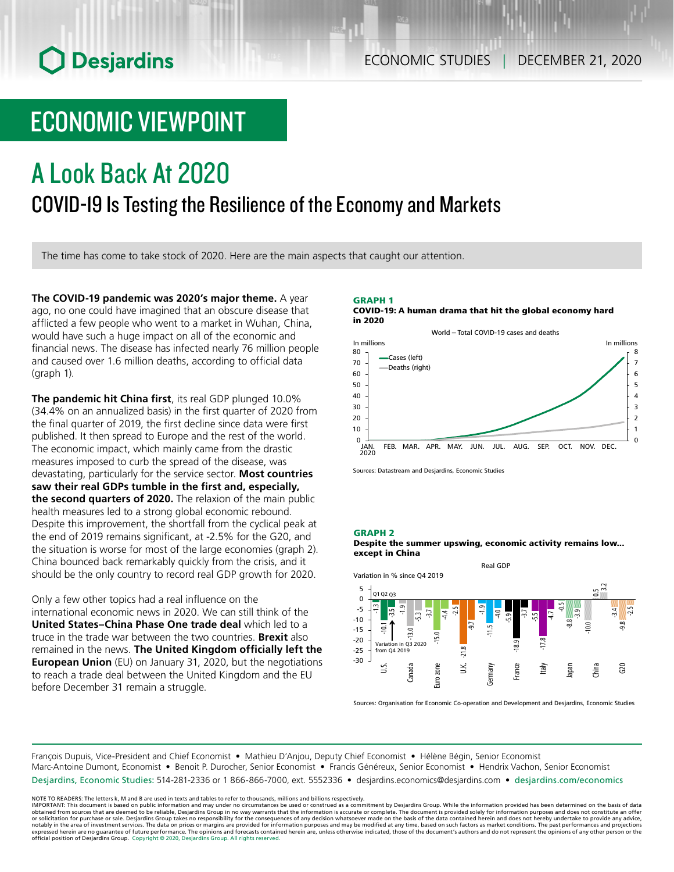# **O** Desjardins

### ECONOMIC STUDIES | DECEMBER 21, 2020

## ECONOMIC VIEWPOINT

# A Look Back At 2020 COVID-19 Is Testing the Resilience of the Economy and Markets

The time has come to take stock of 2020. Here are the main aspects that caught our attention.

**The COVID‑19 pandemic was 2020's major theme.** A year ago, no one could have imagined that an obscure disease that afflicted a few people who went to a market in Wuhan, China, would have such a huge impact on all of the economic and financial news. The disease has infected nearly 76 million people and caused over 1.6 million deaths, according to official data (graph 1).

**The pandemic hit China first**, its real GDP plunged 10.0% (34.4% on an annualized basis) in the first quarter of 2020 from the final quarter of 2019, the first decline since data were first published. It then spread to Europe and the rest of the world. The economic impact, which mainly came from the drastic measures imposed to curb the spread of the disease, was devastating, particularly for the service sector. **Most countries saw their real GDPs tumble in the first and, especially, the second quarters of 2020.** The relaxion of the main public health measures led to a strong global economic rebound. Despite this improvement, the shortfall from the cyclical peak at the end of 2019 remains significant, at -2.5% for the G20, and the situation is worse for most of the large economies (graph 2). China bounced back remarkably quickly from the crisis, and it should be the only country to record real GDP growth for 2020.

Only a few other topics had a real influence on the international economic news in 2020. We can still think of the **United States–China Phase One trade deal** which led to a truce in the trade war between the two countries. **Brexit** also remained in the news. **The United Kingdom officially left the European Union** (EU) on January 31, 2020, but the negotiations to reach a trade deal between the United Kingdom and the EU before December 31 remain a struggle.

#### GRAPH 1 COVID-19: A human drama that hit the global economy hard in 2020



Sources: Datastream and Desjardins, Economic Studies

#### GRAPH 2





Sources: Organisation for Economic Co-operation and Development and Desjardins, Economic Studies

François Dupuis, Vice-President and Chief Economist • Mathieu D'Anjou, Deputy Chief Economist • Hélène Bégin, Senior Economist Marc-Antoine Dumont, Economist • Benoit P. Durocher, Senior Economist • Francis Généreux, Senior Economist • Hendrix Vachon, Senior Economist Desjardins, Economic Studies: 514-281-2336 or 1 866-866-7000, ext. 5552336 • desjardins.economics@desjardins.com • [desjardins.com/economics](http://desjardins.com/economics)

NOTE TO READERS: The letters k, M and B are used in texts and tables to refer to thousands, millions and billions respectively.<br>IMPORTANT: This document is based on public information and may under no circumstances be used obtained from sources that are deemed to be reliable, Desjardins Group in no way warrants that the information is accurate or complete. The document is provided solely for information purposes and does not constitute an of expressed herein are no guarantee of future performance. The opinions and forecasts contained herein are, unless otherwise indicated, those of the document's authors and do not represent the opinions of any other person or official position of Desjardins Group. Copyright © 2020, Desjardins Group. All rights reserved.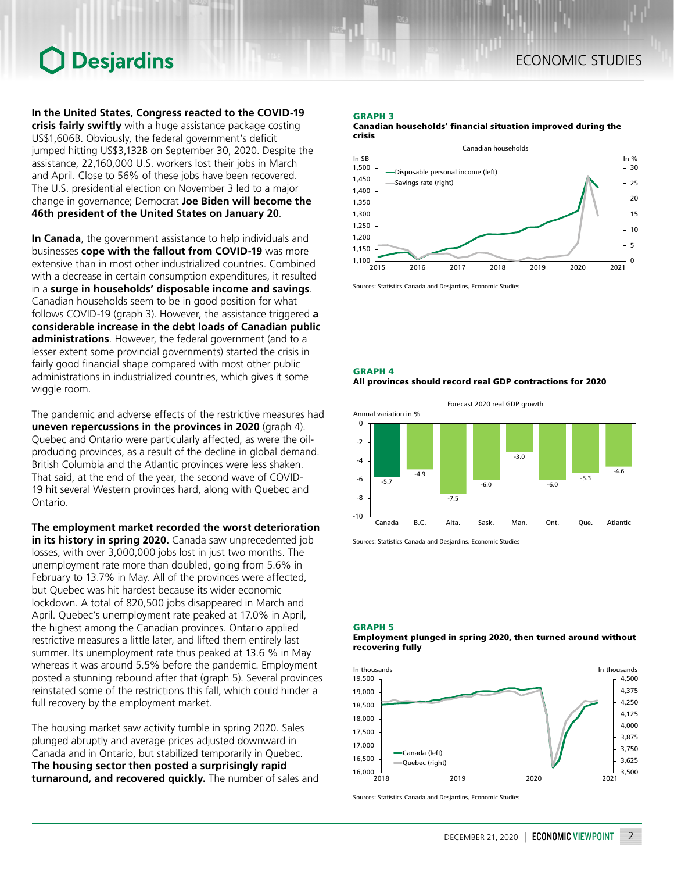# Desjardins

**In the United States, Congress reacted to the COVID‑19 crisis fairly swiftly** with a huge assistance package costing US\$1,606B. Obviously, the federal government's deficit jumped hitting US\$3,132B on September 30, 2020. Despite the assistance, 22,160,000 U.S. workers lost their jobs in March and April. Close to 56% of these jobs have been recovered. The U.S. presidential election on November 3 led to a major change in governance; Democrat **Joe Biden will become the 46th president of the United States on January 20**.

**In Canada**, the government assistance to help individuals and businesses **cope with the fallout from COVID‑19** was more extensive than in most other industrialized countries. Combined with a decrease in certain consumption expenditures, it resulted in a **surge in households' disposable income and savings**. Canadian households seem to be in good position for what follows COVID‑19 (graph 3). However, the assistance triggered **a considerable increase in the debt loads of Canadian public administrations**. However, the federal government (and to a lesser extent some provincial governments) started the crisis in fairly good financial shape compared with most other public administrations in industrialized countries, which gives it some wiggle room.

The pandemic and adverse effects of the restrictive measures had **uneven repercussions in the provinces in 2020** (graph 4). Quebec and Ontario were particularly affected, as were the oilproducing provinces, as a result of the decline in global demand. British Columbia and the Atlantic provinces were less shaken. That said, at the end of the year, the second wave of COVID-19 hit several Western provinces hard, along with Quebec and Ontario.

**The employment market recorded the worst deterioration in its history in spring 2020.** Canada saw unprecedented job losses, with over 3,000,000 jobs lost in just two months. The unemployment rate more than doubled, going from 5.6% in February to 13.7% in May. All of the provinces were affected, but Quebec was hit hardest because its wider economic lockdown. A total of 820,500 jobs disappeared in March and April. Quebec's unemployment rate peaked at 17.0% in April, the highest among the Canadian provinces. Ontario applied restrictive measures a little later, and lifted them entirely last summer. Its unemployment rate thus peaked at 13.6 % in May whereas it was around 5.5% before the pandemic. Employment posted a stunning rebound after that (graph 5). Several provinces reinstated some of the restrictions this fall, which could hinder a full recovery by the employment market.

The housing market saw activity tumble in spring 2020. Sales plunged abruptly and average prices adjusted downward in Canada and in Ontario, but stabilized temporarily in Quebec. **The housing sector then posted a surprisingly rapid turnaround, and recovered quickly.** The number of sales and

#### GRAPH 3

Canadian households' financial situation improved during the crisis



Sources: Statistics Canada and Desjardins, Economic Studies

GRAPH 4

All provinces should record real GDP contractions for 2020



Sources: Statistics Canada and Desjardins, Economic Studies

GRAPH 5





Sources: Statistics Canada and Desjardins, Economic Studies